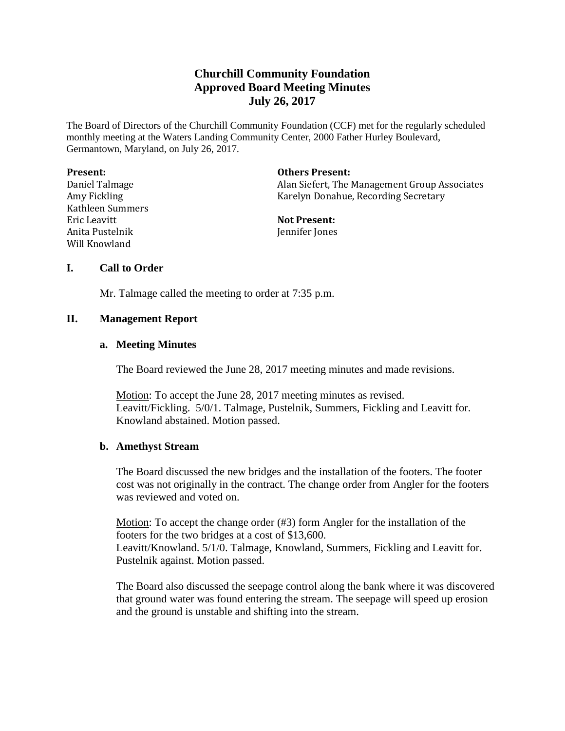# **Churchill Community Foundation Approved Board Meeting Minutes July 26, 2017**

The Board of Directors of the Churchill Community Foundation (CCF) met for the regularly scheduled monthly meeting at the Waters Landing Community Center, 2000 Father Hurley Boulevard, Germantown, Maryland, on July 26, 2017.

| <b>Present:</b>  | <b>Others Present:</b>                        |
|------------------|-----------------------------------------------|
| Daniel Talmage   | Alan Siefert, The Management Group Associates |
| Amy Fickling     | Karelyn Donahue, Recording Secretary          |
| Kathleen Summers |                                               |
| Eric Leavitt     | <b>Not Present:</b>                           |
| Anita Pustelnik  | Jennifer Jones                                |
| Will Knowland    |                                               |

### **I. Call to Order**

Mr. Talmage called the meeting to order at 7:35 p.m.

### **II. Management Report**

#### **a. Meeting Minutes**

The Board reviewed the June 28, 2017 meeting minutes and made revisions.

Motion: To accept the June 28, 2017 meeting minutes as revised. Leavitt/Fickling. 5/0/1. Talmage, Pustelnik, Summers, Fickling and Leavitt for. Knowland abstained. Motion passed.

#### **b. Amethyst Stream**

The Board discussed the new bridges and the installation of the footers. The footer cost was not originally in the contract. The change order from Angler for the footers was reviewed and voted on.

Motion: To accept the change order (#3) form Angler for the installation of the footers for the two bridges at a cost of \$13,600. Leavitt/Knowland. 5/1/0. Talmage, Knowland, Summers, Fickling and Leavitt for. Pustelnik against. Motion passed.

The Board also discussed the seepage control along the bank where it was discovered that ground water was found entering the stream. The seepage will speed up erosion and the ground is unstable and shifting into the stream.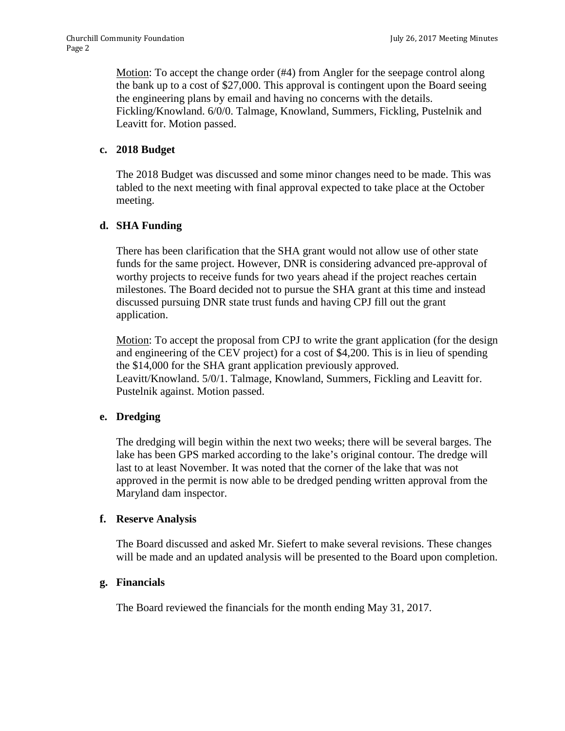Motion: To accept the change order (#4) from Angler for the seepage control along the bank up to a cost of \$27,000. This approval is contingent upon the Board seeing the engineering plans by email and having no concerns with the details. Fickling/Knowland. 6/0/0. Talmage, Knowland, Summers, Fickling, Pustelnik and Leavitt for. Motion passed.

### **c. 2018 Budget**

The 2018 Budget was discussed and some minor changes need to be made. This was tabled to the next meeting with final approval expected to take place at the October meeting.

# **d. SHA Funding**

There has been clarification that the SHA grant would not allow use of other state funds for the same project. However, DNR is considering advanced pre-approval of worthy projects to receive funds for two years ahead if the project reaches certain milestones. The Board decided not to pursue the SHA grant at this time and instead discussed pursuing DNR state trust funds and having CPJ fill out the grant application.

Motion: To accept the proposal from CPJ to write the grant application (for the design and engineering of the CEV project) for a cost of \$4,200. This is in lieu of spending the \$14,000 for the SHA grant application previously approved. Leavitt/Knowland. 5/0/1. Talmage, Knowland, Summers, Fickling and Leavitt for. Pustelnik against. Motion passed.

# **e. Dredging**

The dredging will begin within the next two weeks; there will be several barges. The lake has been GPS marked according to the lake's original contour. The dredge will last to at least November. It was noted that the corner of the lake that was not approved in the permit is now able to be dredged pending written approval from the Maryland dam inspector.

#### **f. Reserve Analysis**

The Board discussed and asked Mr. Siefert to make several revisions. These changes will be made and an updated analysis will be presented to the Board upon completion.

# **g. Financials**

The Board reviewed the financials for the month ending May 31, 2017.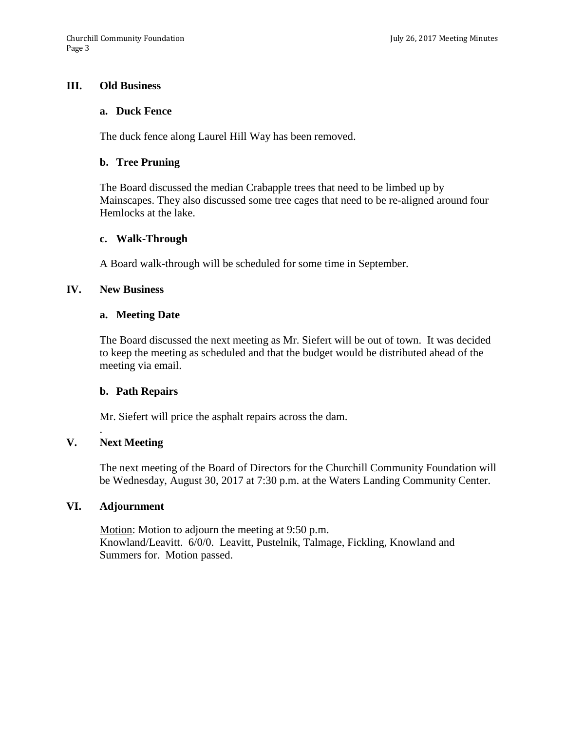### **III. Old Business**

#### **a. Duck Fence**

The duck fence along Laurel Hill Way has been removed.

#### **b. Tree Pruning**

The Board discussed the median Crabapple trees that need to be limbed up by Mainscapes. They also discussed some tree cages that need to be re-aligned around four Hemlocks at the lake.

#### **c. Walk-Through**

A Board walk-through will be scheduled for some time in September.

#### **IV. New Business**

#### **a. Meeting Date**

The Board discussed the next meeting as Mr. Siefert will be out of town. It was decided to keep the meeting as scheduled and that the budget would be distributed ahead of the meeting via email.

#### **b. Path Repairs**

Mr. Siefert will price the asphalt repairs across the dam.

#### **V. Next Meeting**

.

The next meeting of the Board of Directors for the Churchill Community Foundation will be Wednesday, August 30, 2017 at 7:30 p.m. at the Waters Landing Community Center.

#### **VI. Adjournment**

Motion: Motion to adjourn the meeting at 9:50 p.m. Knowland/Leavitt. 6/0/0. Leavitt, Pustelnik, Talmage, Fickling, Knowland and Summers for. Motion passed.